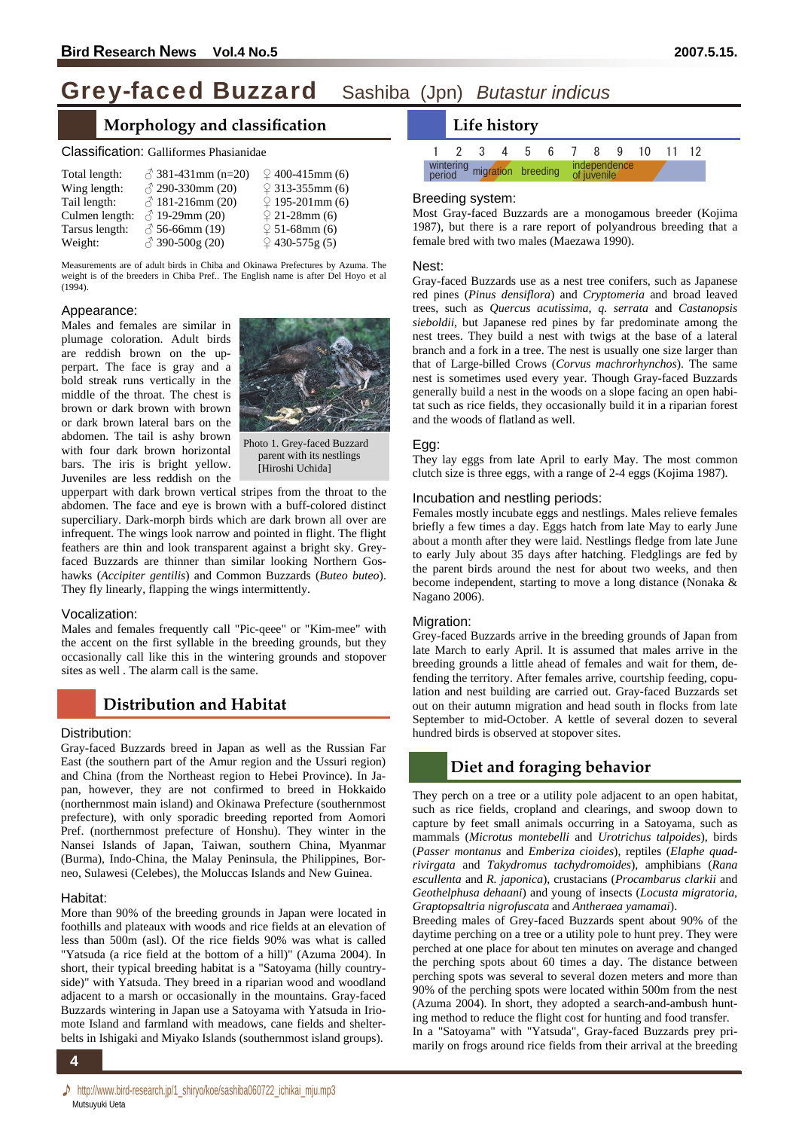# Grey-faced Buzzard Sashiba (Jpn) *Butastur indicus*

# **Morphology and classification**

#### Classification: Galliformes Phasianidae

| Total length:  | $\sqrt[3]{}$ 381-431mm (n=20) | $\textcircled{2}$ 400-415mm (6) |
|----------------|-------------------------------|---------------------------------|
| Wing length:   | $\sqrt{2}$ 290-330mm (20)     | $9313-355$ mm (6)               |
| Tail length:   | $\sqrt{2}$ 181-216mm (20)     | $\sqrt{2}$ 195-201mm (6)        |
| Culmen length: | $\sqrt[3]{}$ 19-29mm (20)     | $\sqrt{2}$ 21-28mm (6)          |
| Tarsus length: | $\sqrt[3]{56}$ -66mm (19)     | $\sqrt{2}$ 51-68mm (6)          |
| Weight:        | ♂ 390-500g (20)               | $9430-575g(5)$                  |

Measurements are of adult birds in Chiba and Okinawa Prefectures by Azuma. The weight is of the breeders in Chiba Pref.. The English name is after Del Hoyo et al  $(1994)$ .

#### Appearance:

Males and females are similar in plumage coloration. Adult birds are reddish brown on the upperpart. The face is gray and a bold streak runs vertically in the middle of the throat. The chest is brown or dark brown with brown or dark brown lateral bars on the abdomen. The tail is ashy brown with four dark brown horizontal bars. The iris is bright yellow. Juveniles are less reddish on the



Photo 1. Grey-faced Buzzard parent with its nestlings [Hiroshi Uchida]

upperpart with dark brown vertical stripes from the throat to the abdomen. The face and eye is brown with a buff-colored distinct superciliary. Dark-morph birds which are dark brown all over are infrequent. The wings look narrow and pointed in flight. The flight feathers are thin and look transparent against a bright sky. Greyfaced Buzzards are thinner than similar looking Northern Goshawks (*Accipiter gentilis*) and Common Buzzards (*Buteo buteo*). They fly linearly, flapping the wings intermittently.

#### Vocalization:

Males and females frequently call "Pic-qeee" or "Kim-mee" with the accent on the first syllable in the breeding grounds, but they occasionally call like this in the wintering grounds and stopover sites as well . The alarm call is the same.

## **Distribution and Habitat**

#### Distribution:

Gray-faced Buzzards breed in Japan as well as the Russian Far East (the southern part of the Amur region and the Ussuri region) and China (from the Northeast region to Hebei Province). In Japan, however, they are not confirmed to breed in Hokkaido (northernmost main island) and Okinawa Prefecture (southernmost prefecture), with only sporadic breeding reported from Aomori Pref. (northernmost prefecture of Honshu). They winter in the Nansei Islands of Japan, Taiwan, southern China, Myanmar (Burma), Indo-China, the Malay Peninsula, the Philippines, Borneo, Sulawesi (Celebes), the Moluccas Islands and New Guinea.

#### Habitat:

More than 90% of the breeding grounds in Japan were located in foothills and plateaux with woods and rice fields at an elevation of less than 500m (asl). Of the rice fields 90% was what is called "Yatsuda (a rice field at the bottom of a hill)" (Azuma 2004). In short, their typical breeding habitat is a "Satoyama (hilly countryside)" with Yatsuda. They breed in a riparian wood and woodland adjacent to a marsh or occasionally in the mountains. Gray-faced Buzzards wintering in Japan use a Satoyama with Yatsuda in Iriomote Island and farmland with meadows, cane fields and shelterbelts in Ishigaki and Miyako Islands (southernmost island groups).



#### Breeding system:

Most Gray-faced Buzzards are a monogamous breeder (Kojima 1987), but there is a rare report of polyandrous breeding that a female bred with two males (Maezawa 1990).

#### Nest:

Gray-faced Buzzards use as a nest tree conifers, such as Japanese red pines (*Pinus densiflora*) and *Cryptomeria* and broad leaved trees, such as *Quercus acutissima*, *q. serrata* and *Castanopsis sieboldii*, but Japanese red pines by far predominate among the nest trees. They build a nest with twigs at the base of a lateral branch and a fork in a tree. The nest is usually one size larger than that of Large-billed Crows (*Corvus machrorhynchos*). The same nest is sometimes used every year. Though Gray-faced Buzzards generally build a nest in the woods on a slope facing an open habitat such as rice fields, they occasionally build it in a riparian forest and the woods of flatland as well.

#### Egg:

They lay eggs from late April to early May. The most common clutch size is three eggs, with a range of 2-4 eggs (Kojima 1987).

#### Incubation and nestling periods:

Females mostly incubate eggs and nestlings. Males relieve females briefly a few times a day. Eggs hatch from late May to early June about a month after they were laid. Nestlings fledge from late June to early July about 35 days after hatching. Fledglings are fed by the parent birds around the nest for about two weeks, and then become independent, starting to move a long distance (Nonaka & Nagano 2006).

#### Migration:

Grey-faced Buzzards arrive in the breeding grounds of Japan from late March to early April. It is assumed that males arrive in the breeding grounds a little ahead of females and wait for them, defending the territory. After females arrive, courtship feeding, copulation and nest building are carried out. Gray-faced Buzzards set out on their autumn migration and head south in flocks from late September to mid-October. A kettle of several dozen to several hundred birds is observed at stopover sites.

# **Diet and foraging behavior**

They perch on a tree or a utility pole adjacent to an open habitat, such as rice fields, cropland and clearings, and swoop down to capture by feet small animals occurring in a Satoyama, such as mammals (*Microtus montebelli* and *Urotrichus talpoides*), birds (*Passer montanus* and *Emberiza cioides*), reptiles (*Elaphe quadrivirgata* and *Takydromus tachydromoides*), amphibians (*Rana escullenta* and *R. japonica*), crustacians (*Procambarus clarkii* and *Geothelphusa dehaani*) and young of insects (*Locusta migratoria*, *Graptopsaltria nigrofuscata* and *Antheraea yamamai*).

Breeding males of Grey-faced Buzzards spent about 90% of the daytime perching on a tree or a utility pole to hunt prey. They were perched at one place for about ten minutes on average and changed the perching spots about 60 times a day. The distance between perching spots was several to several dozen meters and more than 90% of the perching spots were located within 500m from the nest (Azuma 2004). In short, they adopted a search-and-ambush hunting method to reduce the flight cost for hunting and food transfer. In a "Satoyama" with "Yatsuda", Gray-faced Buzzards prey pri-

marily on frogs around rice fields from their arrival at the breeding